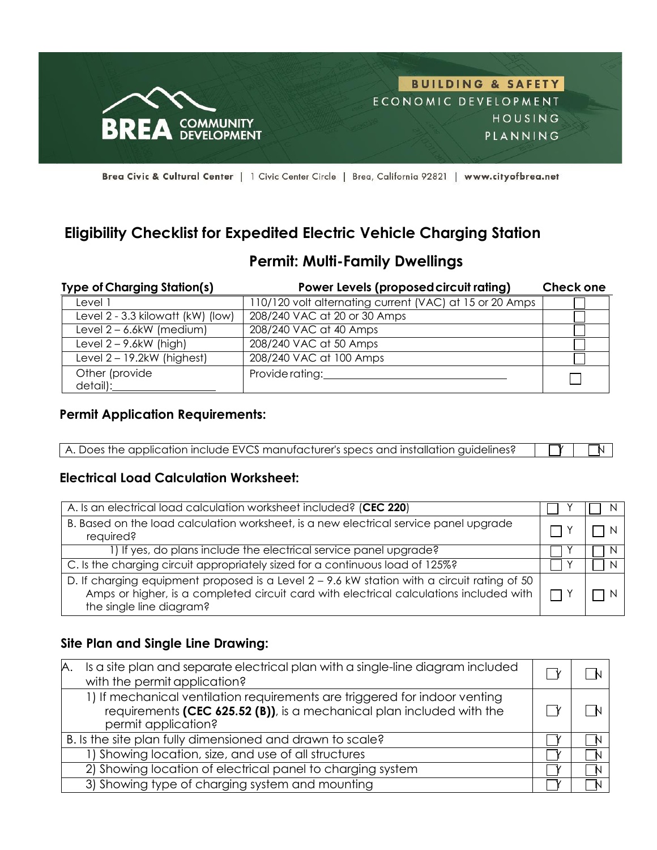

Brea Civic & Cultural Center | 1 Civic Center Circle | Brea, California 92821 | www.cityofbrea.net

# **Eligibility Checklist for Expedited Electric Vehicle Charging Station**

# **Permit: Multi-Family Dwellings**

| <b>Type of Charging Station(s)</b> | Power Levels (proposed circuit rating)                  | <b>Check one</b> |
|------------------------------------|---------------------------------------------------------|------------------|
| Level 1                            | 110/120 volt alternating current (VAC) at 15 or 20 Amps |                  |
| Level 2 - 3.3 kilowatt (kW) (low)  | 208/240 VAC at 20 or 30 Amps                            |                  |
| Level $2 - 6.6$ kW (medium)        | 208/240 VAC at 40 Amps                                  |                  |
| Level $2 - 9.6$ kW (high)          | 208/240 VAC at 50 Amps                                  |                  |
| Level $2 - 19.2$ kW (highest)      | 208/240 VAC at 100 Amps                                 |                  |
| Other (provide<br>detail):         | Provide rating:                                         |                  |

#### **Permit Application Requirements:**

| A. Does the application include EVCS manufacturer's specs and installation guidelines? | $\Box$ |
|----------------------------------------------------------------------------------------|--------|

#### **Electrical Load Calculation Worksheet:**

| A. Is an electrical load calculation worksheet included? (CEC 220)                                                                                                                                                           |  |  |
|------------------------------------------------------------------------------------------------------------------------------------------------------------------------------------------------------------------------------|--|--|
| B. Based on the load calculation worksheet, is a new electrical service panel upgrade<br>required?                                                                                                                           |  |  |
| 1) If yes, do plans include the electrical service panel upgrade?                                                                                                                                                            |  |  |
| C. Is the charging circuit appropriately sized for a continuous load of 125%?                                                                                                                                                |  |  |
| D. If charging equipment proposed is a Level $2 - 9.6$ kW station with a circuit rating of 50<br>Amps or higher, is a completed circuit card with electrical calculations included with $\Box$ Y<br>the single line diagram? |  |  |

### **Site Plan and Single Line Drawing:**

| Is a site plan and separate electrical plan with a single-line diagram included<br>А.<br>with the permit application?                                                      |  |  |
|----------------------------------------------------------------------------------------------------------------------------------------------------------------------------|--|--|
| 1) If mechanical ventilation requirements are triggered for indoor venting<br>requirements (CEC 625.52 (B)), is a mechanical plan included with the<br>permit application? |  |  |
| B. Is the site plan fully dimensioned and drawn to scale?                                                                                                                  |  |  |
| 1) Showing location, size, and use of all structures                                                                                                                       |  |  |
| 2) Showing location of electrical panel to charging system                                                                                                                 |  |  |
| 3) Showing type of charging system and mounting                                                                                                                            |  |  |